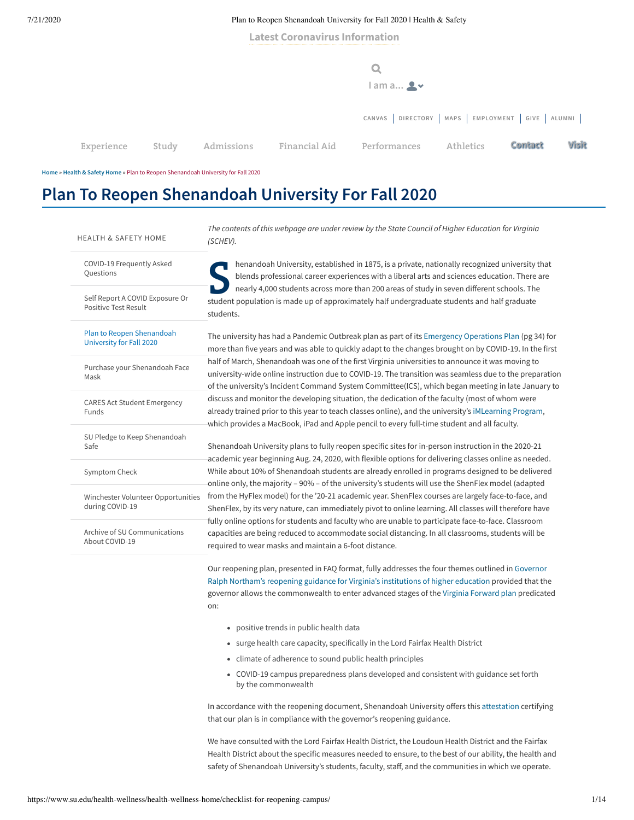**Latest [Coronavirus](https://www.su.edu/blog/category/health/coronavirus/) Information**

|            |       |            |               | $l$ am a $\clubsuit$ $\vee$                            |           |         |       |
|------------|-------|------------|---------------|--------------------------------------------------------|-----------|---------|-------|
|            |       |            |               | CANVAS   DIRECTORY   MAPS   EMPLOYMENT   GIVE   ALUMNI |           |         |       |
| Experience | Study | Admissions | Financial Aid | Performances                                           | Athletics | Contact | Visit |

**[Home](https://www.su.edu/health-wellness/) » [Health](https://www.su.edu/health-wellness/) & Safety Home »** Plan to Reopen Shenandoah University for Fall 2020

# **Plan To Reopen Shenandoah University For Fall 2020**

| <b>HEALTH &amp; SAFETY HOME</b>                                | The contents of this webpage are under review by the State Council of Higher Education for Virginia<br>(SCHEV).                                                                                                                                                                                                                                                                                                                                                                                                                                                                                                                                                                                                                                                                                           |  |  |  |  |
|----------------------------------------------------------------|-----------------------------------------------------------------------------------------------------------------------------------------------------------------------------------------------------------------------------------------------------------------------------------------------------------------------------------------------------------------------------------------------------------------------------------------------------------------------------------------------------------------------------------------------------------------------------------------------------------------------------------------------------------------------------------------------------------------------------------------------------------------------------------------------------------|--|--|--|--|
| COVID-19 Frequently Asked<br>Questions                         | henandoah University, established in 1875, is a private, nationally recognized university that<br>blends professional career experiences with a liberal arts and sciences education. There are<br>nearly 4,000 students across more than 200 areas of study in seven different schools. The<br>student population is made up of approximately half undergraduate students and half graduate<br>students.                                                                                                                                                                                                                                                                                                                                                                                                  |  |  |  |  |
| Self Report A COVID Exposure Or<br><b>Positive Test Result</b> |                                                                                                                                                                                                                                                                                                                                                                                                                                                                                                                                                                                                                                                                                                                                                                                                           |  |  |  |  |
| Plan to Reopen Shenandoah<br><b>University for Fall 2020</b>   | The university has had a Pandemic Outbreak plan as part of its Emergency Operations Plan (pg 34) for<br>more than five years and was able to quickly adapt to the changes brought on by COVID-19. In the first<br>half of March, Shenandoah was one of the first Virginia universities to announce it was moving to<br>university-wide online instruction due to COVID-19. The transition was seamless due to the preparation<br>of the university's Incident Command System Committee(ICS), which began meeting in late January to                                                                                                                                                                                                                                                                       |  |  |  |  |
| Purchase your Shenandoah Face<br>Mask                          |                                                                                                                                                                                                                                                                                                                                                                                                                                                                                                                                                                                                                                                                                                                                                                                                           |  |  |  |  |
| <b>CARES Act Student Emergency</b><br>Funds                    | discuss and monitor the developing situation, the dedication of the faculty (most of whom were<br>already trained prior to this year to teach classes online), and the university's iMLearning Program,<br>which provides a MacBook, iPad and Apple pencil to every full-time student and all faculty.                                                                                                                                                                                                                                                                                                                                                                                                                                                                                                    |  |  |  |  |
| SU Pledge to Keep Shenandoah<br>Safe                           | Shenandoah University plans to fully reopen specific sites for in-person instruction in the 2020-21                                                                                                                                                                                                                                                                                                                                                                                                                                                                                                                                                                                                                                                                                                       |  |  |  |  |
| Symptom Check                                                  | academic year beginning Aug. 24, 2020, with flexible options for delivering classes online as needed.<br>While about 10% of Shenandoah students are already enrolled in programs designed to be delivered<br>online only, the majority - 90% - of the university's students will use the ShenFlex model (adapted<br>from the HyFlex model) for the '20-21 academic year. ShenFlex courses are largely face-to-face, and<br>ShenFlex, by its very nature, can immediately pivot to online learning. All classes will therefore have<br>fully online options for students and faculty who are unable to participate face-to-face. Classroom<br>capacities are being reduced to accommodate social distancing. In all classrooms, students will be<br>required to wear masks and maintain a 6-foot distance. |  |  |  |  |
| Winchester Volunteer Opportunities<br>during COVID-19          |                                                                                                                                                                                                                                                                                                                                                                                                                                                                                                                                                                                                                                                                                                                                                                                                           |  |  |  |  |
| Archive of SU Communications<br>About COVID-19                 |                                                                                                                                                                                                                                                                                                                                                                                                                                                                                                                                                                                                                                                                                                                                                                                                           |  |  |  |  |
|                                                                | Our reopening plan, presented in FAQ format, fully addresses the four themes outlined in Governor<br>Ralph Northam's reopening guidance for Virginia's institutions of higher education provided that the<br>governor allows the commonwealth to enter advanced stages of the Virginia Forward plan predicated<br>on:                                                                                                                                                                                                                                                                                                                                                                                                                                                                                     |  |  |  |  |

- positive trends in public health data
- surge health care capacity, specifically in the Lord Fairfax Health District
- climate of adherence to sound public health principles
- COVID-19 campus preparedness plans developed and consistent with guidance set forth by the commonwealth

In accordance with the reopening document, Shenandoah University offers this [attestation](https://q8rkuwu1ti4vaqw33x41zocd-wpengine.netdna-ssl.com/health-wellness/files/2020/06/Attestation-For-SCHEV.pdf) certifying that our plan is in compliance with the governor's reopening guidance.

We have consulted with the Lord Fairfax Health District, the Loudoun Health District and the Fairfax Health District about the specific measures needed to ensure, to the best of our ability, the health and safety of Shenandoah University's students, faculty, staff, and the communities in which we operate.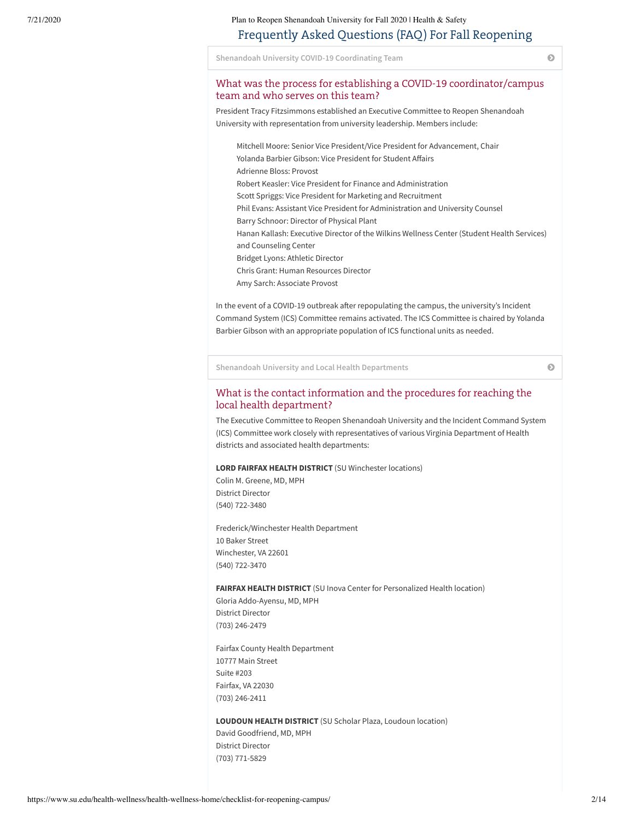# Frequently Asked Questions (FAQ) For Fall Reopening

**Shenandoah University COVID-19 [Coordinating](#page-1-0) Team**

# <span id="page-1-0"></span>What was the process for establishing a COVID-19 coordinator/campus team and who serves on this team?

President Tracy Fitzsimmons established an Executive Committee to Reopen Shenandoah University with representation from university leadership. Members include:

Mitchell Moore: Senior Vice President/Vice President for Advancement, Chair Yolanda Barbier Gibson: Vice President for Student Affairs Adrienne Bloss: Provost Robert Keasler: Vice President for Finance and Administration Scott Spriggs: Vice President for Marketing and Recruitment Phil Evans: Assistant Vice President for Administration and University Counsel Barry Schnoor: Director of Physical Plant Hanan Kallash: Executive Director of the Wilkins Wellness Center (Student Health Services) and Counseling Center Bridget Lyons: Athletic Director Chris Grant: Human Resources Director Amy Sarch: Associate Provost

In the event of a COVID-19 outbreak after repopulating the campus, the university's Incident Command System (ICS) Committee remains activated. The ICS Committee is chaired by Yolanda Barbier Gibson with an appropriate population of ICS functional units as needed.

**Shenandoah University and Local Health [Departments](#page-1-1)**

### <span id="page-1-1"></span>What is the contact information and the procedures for reaching the local health department?

The Executive Committee to Reopen Shenandoah University and the Incident Command System (ICS) Committee work closely with representatives of various Virginia Department of Health districts and associated health departments:

#### **LORD FAIRFAX HEALTH DISTRICT** (SU Winchester locations)

Colin M. Greene, MD, MPH District Director (540) 722-3480

Frederick/Winchester Health Department 10 Baker Street Winchester, VA 22601 (540) 722-3470

#### **FAIRFAX HEALTH DISTRICT** (SU Inova Center for Personalized Health location)

Gloria Addo-Ayensu, MD, MPH District Director (703) 246-2479

Fairfax County Health Department 10777 Main Street Suite #203 Fairfax, VA 22030 (703) 246-2411

### **LOUDOUN HEALTH DISTRICT** (SU Scholar Plaza, Loudoun location)

David Goodfriend, MD, MPH District Director (703) 771-5829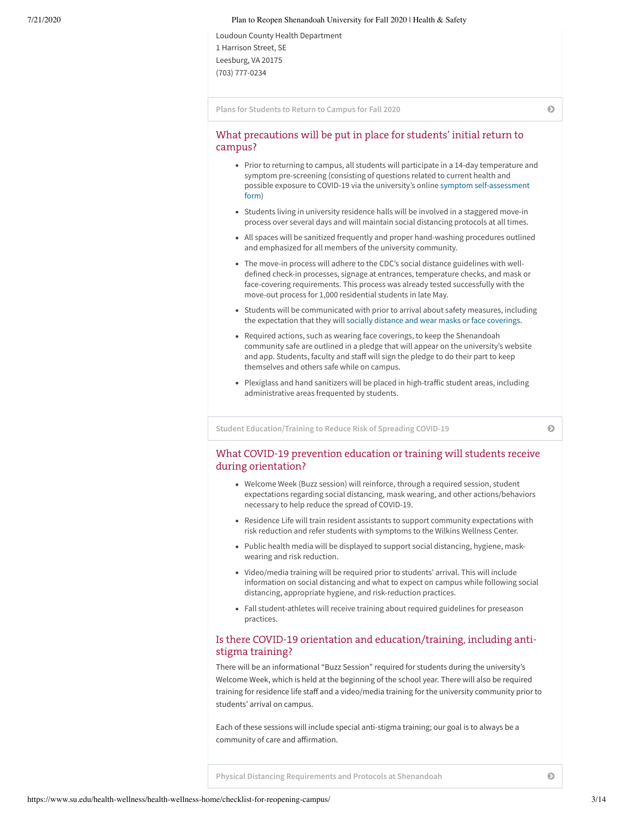Loudoun County Health Department 1 Harrison Street, SE Leesburg, VA 20175 (703) 777-0234

**Plans for [Students](#page-2-0) to Return to Campus for Fall 2020**

## <span id="page-2-0"></span>What precautions will be put in place for students' initial return to campus?

- Prior to returning to campus, all students will participate in a 14-day temperature and symptom pre-screening (consisting of questions related to current health and possible exposure to COVID-19 via the university's online symptom [self-assessment](https://www.su.edu/health-wellness/health-wellness-home/symptom-check) form)
- Students living in university residence halls will be involved in a staggered move-in process over several days and will maintain social distancing protocols at all times.
- All spaces will be sanitized frequently and proper hand-washing procedures outlined and emphasized for all members of the university community.
- The move-in process will adhere to the CDC's social distance guidelines with welldefined check-in processes, signage at entrances, temperature checks, and mask or face-covering requirements. This process was already tested successfully with the move-out process for 1,000 residential students in late May.
- Students will be communicated with prior to arrival about safety measures, including the expectation that they will [socially distance](https://www.su.edu/blog/2020/03/some-social-distancing-resources-from-an-expert/) and wear masks or face coverings.
- Required actions, such as wearing face coverings, to keep the Shenandoah community safe are outlined in a pledge that will appear on the university's website and app. Students, faculty and staff will sign the pledge to do their part to keep themselves and others safe while on campus.
- Plexiglass and hand sanitizers will be placed in high-traffic student areas, including administrative areas frequented by students.

**Student [Education/Training](#page-2-1) to Reduce Risk of Spreading COVID-19**

### <span id="page-2-1"></span>What COVID-19 prevention education or training will students receive during orientation?

- Welcome Week (Buzz session) will reinforce, through a required session, student expectations regarding social distancing, mask wearing, and other actions/behaviors necessary to help reduce the spread of COVID-19.
- Residence Life will train resident assistants to support community expectations with risk reduction and refer students with symptoms to the Wilkins Wellness Center.
- Public health media will be displayed to support social distancing, hygiene, maskwearing and risk reduction.
- Video/media training will be required prior to students' arrival. This will include information on social distancing and what to expect on campus while following social distancing, appropriate hygiene, and risk-reduction practices.
- Fall student-athletes will receive training about required guidelines for preseason practices.

# Is there COVID-19 orientation and education/training, including antistigma training?

There will be an informational "Buzz Session" required for students during the university's Welcome Week, which is held at the beginning of the school year. There will also be required training for residence life staff and a video/media training for the university community prior to students' arrival on campus.

<span id="page-2-2"></span>Each of these sessions will include special anti-stigma training; our goal is to always be a community of care and affirmation.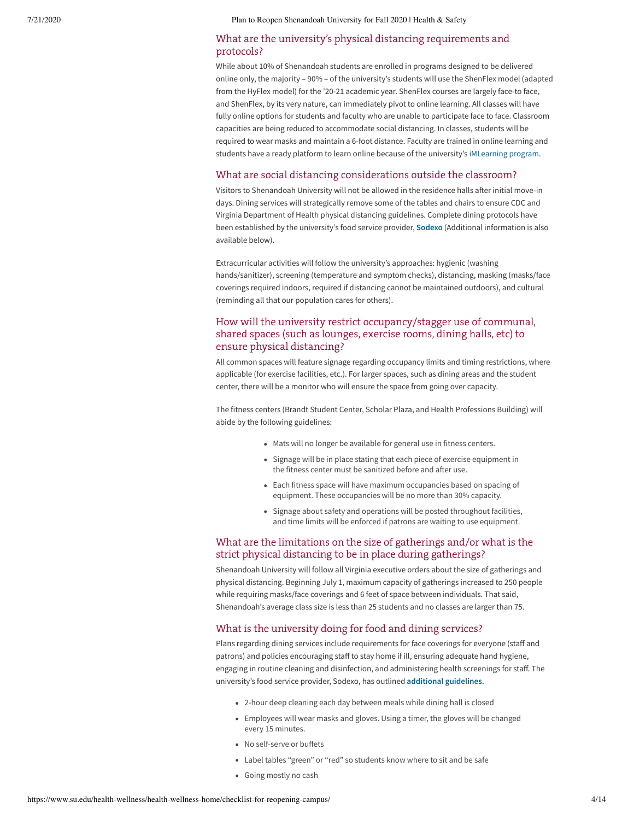# What are the university's physical distancing requirements and protocols?

While about 10% of Shenandoah students are enrolled in programs designed to be delivered online only, the majority – 90% – of the university's students will use the ShenFlex model (adapted from the HyFlex model) for the '20-21 academic year. ShenFlex courses are largely face-to face, and ShenFlex, by its very nature, can immediately pivot to online learning. All classes will have fully online options for students and faculty who are unable to participate face to face. Classroom capacities are being reduced to accommodate social distancing. In classes, students will be required to wear masks and maintain a 6-foot distance. Faculty are trained in online learning and students have a ready platform to learn online because of the university's [iMLearning](https://www.su.edu/institutional-computing/imlearning-excellence/) program.

### What are social distancing considerations outside the classroom?

Visitors to Shenandoah University will not be allowed in the residence halls after initial move-in days. Dining services will strategically remove some of the tables and chairs to ensure CDC and Virginia Department of Health physical distancing guidelines. Complete dining protocols have been established by the university's food service provider, **[Sodexo](https://q8rkuwu1ti4vaqw33x41zocd-wpengine.netdna-ssl.com/health-wellness/files/2020/06/Shenandoah-University-Sodexo-MOVING-TO-FULL-SERVICE1.pdf)** (Additional information is also available below).

Extracurricular activities will follow the university's approaches: hygienic (washing hands/sanitizer), screening (temperature and symptom checks), distancing, masking (masks/face coverings required indoors, required if distancing cannot be maintained outdoors), and cultural (reminding all that our population cares for others).

# How will the university restrict occupancy/stagger use of communal, shared spaces (such as lounges, exercise rooms, dining halls, etc) to ensure physical distancing?

All common spaces will feature signage regarding occupancy limits and timing restrictions, where applicable (for exercise facilities, etc.). For larger spaces, such as dining areas and the student center, there will be a monitor who will ensure the space from going over capacity.

The fitness centers (Brandt Student Center, Scholar Plaza, and Health Professions Building) will abide by the following guidelines:

- Mats will no longer be available for general use in fitness centers.
- Signage will be in place stating that each piece of exercise equipment in the fitness center must be sanitized before and after use.
- Each fitness space will have maximum occupancies based on spacing of equipment. These occupancies will be no more than 30% capacity.
- Signage about safety and operations will be posted throughout facilities, and time limits will be enforced if patrons are waiting to use equipment.

# What are the limitations on the size of gatherings and/or what is the strict physical distancing to be in place during gatherings?

Shenandoah University will follow all Virginia executive orders about the size of gatherings and physical distancing. Beginning July 1, maximum capacity of gatherings increased to 250 people while requiring masks/face coverings and 6 feet of space between individuals. That said, Shenandoah's average class size is less than 25 students and no classes are larger than 75.

# What is the university doing for food and dining services?

Plans regarding dining services include requirements for face coverings for everyone (staff and patrons) and policies encouraging staff to stay home if ill, ensuring adequate hand hygiene, engaging in routine cleaning and disinfection, and administering health screenings for staff. The university's food service provider, Sodexo, has outlined **additional [guidelines.](https://q8rkuwu1ti4vaqw33x41zocd-wpengine.netdna-ssl.com/health-wellness/files/2020/06/Shenandoah-University-Sodexo-MOVING-TO-FULL-SERVICE1.pdf)**

- 2-hour deep cleaning each day between meals while dining hall is closed
- Employees will wear masks and gloves. Using a timer, the gloves will be changed every 15 minutes.
- No self-serve or buffets
- Label tables "green" or "red" so students know where to sit and be safe
- Going mostly no cash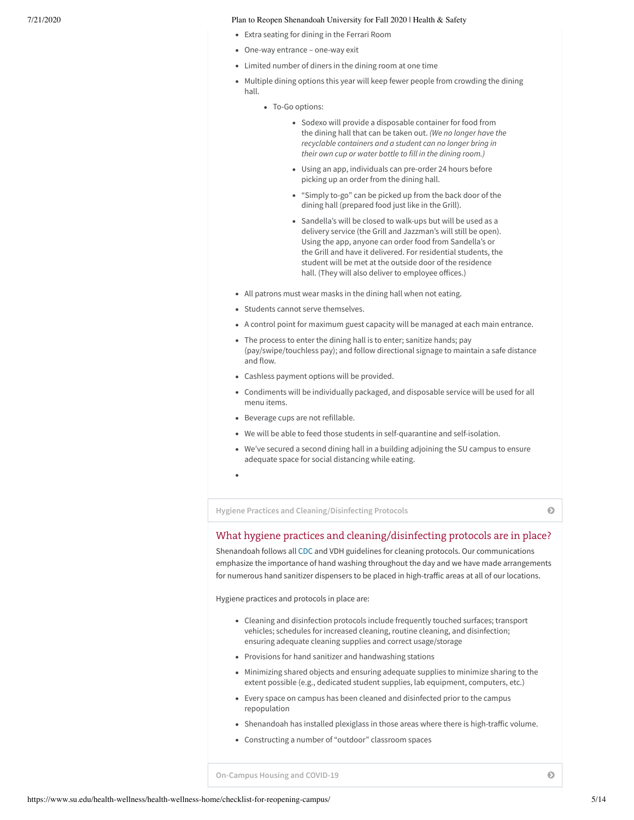- Extra seating for dining in the Ferrari Room
- One-way entrance one-way exit
- Limited number of diners in the dining room at one time
- Multiple dining options this year will keep fewer people from crowding the dining hall.
	- To-Go options:
		- Sodexo will provide a disposable container for food from the dining hall that can be taken out. *(We no longer have the recyclable containers and a student can no longer bring in their own cup or water bottle to fill in the dining room.)*
		- Using an app, individuals can pre-order 24 hours before picking up an order from the dining hall.
		- "Simply to-go" can be picked up from the back door of the dining hall (prepared food just like in the Grill).
		- Sandella's will be closed to walk-ups but will be used as a delivery service (the Grill and Jazzman's will still be open). Using the app, anyone can order food from Sandella's or the Grill and have it delivered. For residential students, the student will be met at the outside door of the residence hall. (They will also deliver to employee offices.)
- All patrons must wear masks in the dining hall when not eating.
- Students cannot serve themselves.
- A control point for maximum guest capacity will be managed at each main entrance.
- The process to enter the dining hall is to enter; sanitize hands; pay (pay/swipe/touchless pay); and follow directional signage to maintain a safe distance and flow.
- Cashless payment options will be provided.
- Condiments will be individually packaged, and disposable service will be used for all menu items.
- Beverage cups are not refillable.
- We will be able to feed those students in self-quarantine and self-isolation.
- We've secured a second dining hall in a building adjoining the SU campus to ensure adequate space for social distancing while eating.
- 

**Hygiene Practices and [Cleaning/Disinfecting](#page-4-0) Protocols**

# <span id="page-4-0"></span>What hygiene practices and cleaning/disinfecting protocols are in place?

Shenandoah follows all [CDC](https://www.cdc.gov/coronavirus/2019-ncov/community/clean-disinfect/index.html) and VDH guidelines for cleaning protocols. Our communications emphasize the importance of hand washing throughout the day and we have made arrangements for numerous hand sanitizer dispensers to be placed in high-traffic areas at all of our locations.

Hygiene practices and protocols in place are:

- Cleaning and disinfection protocols include frequently touched surfaces; transport vehicles; schedules for increased cleaning, routine cleaning, and disinfection; ensuring adequate cleaning supplies and correct usage/storage
- Provisions for hand sanitizer and handwashing stations
- Minimizing shared objects and ensuring adequate supplies to minimize sharing to the extent possible (e.g., dedicated student supplies, lab equipment, computers, etc.)
- Every space on campus has been cleaned and disinfected prior to the campus repopulation
- Shenandoah has installed plexiglass in those areas where there is high-traffic volume.
- Constructing a number of "outdoor" classroom spaces

<span id="page-4-1"></span>**[On-Campus](#page-4-1) Housing and COVID-19**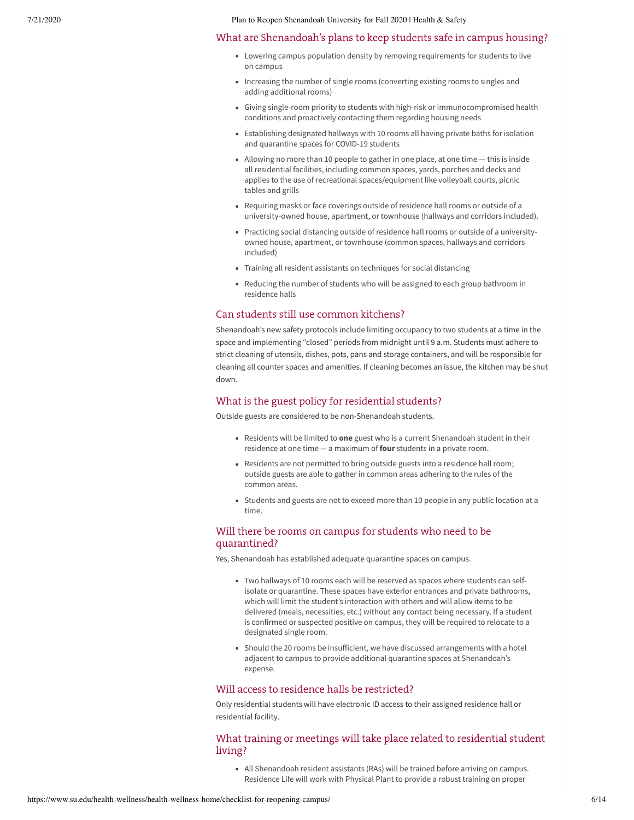#### What are Shenandoah's plans to keep students safe in campus housing?

- Lowering campus population density by removing requirements for students to live on campus
- Increasing the number of single rooms (converting existing rooms to singles and adding additional rooms)
- Giving single-room priority to students with high-risk or immunocompromised health conditions and proactively contacting them regarding housing needs
- Establishing designated hallways with 10 rooms all having private baths for isolation and quarantine spaces for COVID-19 students
- Allowing no more than 10 people to gather in one place, at one time this is inside all residential facilities, including common spaces, yards, porches and decks and applies to the use of recreational spaces/equipment like volleyball courts, picnic tables and grills
- Requiring masks or face coverings outside of residence hall rooms or outside of a university-owned house, apartment, or townhouse (hallways and corridors included).
- Practicing social distancing outside of residence hall rooms or outside of a universityowned house, apartment, or townhouse (common spaces, hallways and corridors included)
- Training all resident assistants on techniques for social distancing
- Reducing the number of students who will be assigned to each group bathroom in residence halls

### Can students still use common kitchens?

Shenandoah's new safety protocols include limiting occupancy to two students at a time in the space and implementing "closed" periods from midnight until 9 a.m. Students must adhere to strict cleaning of utensils, dishes, pots, pans and storage containers, and will be responsible for cleaning all counter spaces and amenities. If cleaning becomes an issue, the kitchen may be shut down.

### What is the guest policy for residential students?

Outside guests are considered to be non-Shenandoah students.

- Residents will be limited to **one** guest who is a current Shenandoah student in their residence at one time — a maximum of **four** students in a private room.
- Residents are not permitted to bring outside guests into a residence hall room; outside guests are able to gather in common areas adhering to the rules of the common areas.
- Students and guests are not to exceed more than 10 people in any public location at a time.

# Will there be rooms on campus for students who need to be quarantined?

Yes, Shenandoah has established adequate quarantine spaces on campus.

- Two hallways of 10 rooms each will be reserved as spaces where students can selfisolate or quarantine. These spaces have exterior entrances and private bathrooms, which will limit the student's interaction with others and will allow items to be delivered (meals, necessities, etc.) without any contact being necessary. If a student is confirmed or suspected positive on campus, they will be required to relocate to a designated single room.
- Should the 20 rooms be insufficient, we have discussed arrangements with a hotel adjacent to campus to provide additional quarantine spaces at Shenandoah's expense.

# Will access to residence halls be restricted?

Only residential students will have electronic ID access to their assigned residence hall or residential facility.

# What training or meetings will take place related to residential student living?

All Shenandoah resident assistants (RAs) will be trained before arriving on campus. Residence Life will work with Physical Plant to provide a robust training on proper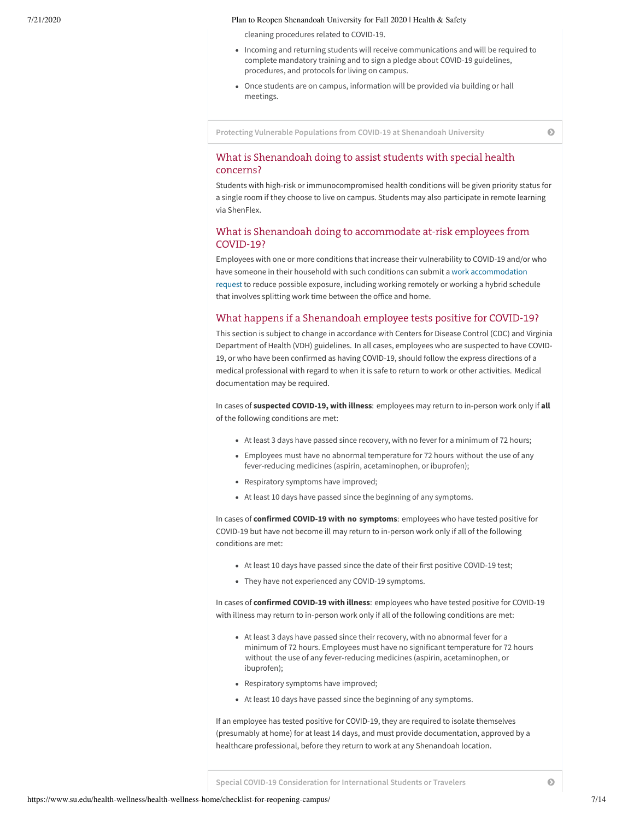cleaning procedures related to COVID-19.

- Incoming and returning students will receive communications and will be required to complete mandatory training and to sign a pledge about COVID-19 guidelines, procedures, and protocols for living on campus.
- Once students are on campus, information will be provided via building or hall meetings.

**Protecting Vulnerable Populations from COVID-19 at [Shenandoah](#page-6-0) University**

# <span id="page-6-0"></span>What is Shenandoah doing to assist students with special health concerns?

Students with high-risk or immunocompromised health conditions will be given priority status for a single room if they choose to live on campus. Students may also participate in remote learning via ShenFlex.

### What is Shenandoah doing to accommodate at-risk employees from COVID-19?

Employees with one or more conditions that increase their vulnerability to COVID-19 and/or who have someone in their household with such conditions can submit a work [accommodation](https://docs.google.com/forms/d/170_WTtwS6NGYHiWwTtbacq2E33EQX9dalseeuR3NGRU/viewform?) request to reduce possible exposure, including working remotely or working a hybrid schedule that involves splitting work time between the office and home.

### What happens if a Shenandoah employee tests positive for COVID-19?

This section is subject to change in accordance with Centers for Disease Control (CDC) and Virginia Department of Health (VDH) guidelines. In all cases, employees who are suspected to have COVID-19, or who have been confirmed as having COVID-19, should follow the express directions of a medical professional with regard to when it is safe to return to work or other activities. Medical documentation may be required.

In cases of **suspected COVID-19, with illness**: employees may return to in-person work only if **all** of the following conditions are met:

- At least 3 days have passed since recovery, with no fever for a minimum of 72 hours;
- Employees must have no abnormal temperature for 72 hours without the use of any fever-reducing medicines (aspirin, acetaminophen, or ibuprofen);
- Respiratory symptoms have improved;
- At least 10 days have passed since the beginning of any symptoms.

In cases of **confirmed COVID-19 with no symptoms**: employees who have tested positive for COVID-19 but have not become ill may return to in-person work only if all of the following conditions are met:

- At least 10 days have passed since the date of their first positive COVID-19 test;
- They have not experienced any COVID-19 symptoms.

In cases of **confirmed COVID-19 with illness**: employees who have tested positive for COVID-19 with illness may return to in-person work only if all of the following conditions are met:

- At least 3 days have passed since their recovery, with no abnormal fever for a minimum of 72 hours. Employees must have no significant temperature for 72 hours without the use of any fever-reducing medicines (aspirin, acetaminophen, or ibuprofen);
- Respiratory symptoms have improved;
- At least 10 days have passed since the beginning of any symptoms.

If an employee has tested positive for COVID-19, they are required to isolate themselves (presumably at home) for at least 14 days, and must provide documentation, approved by a healthcare professional, before they return to work at any Shenandoah location.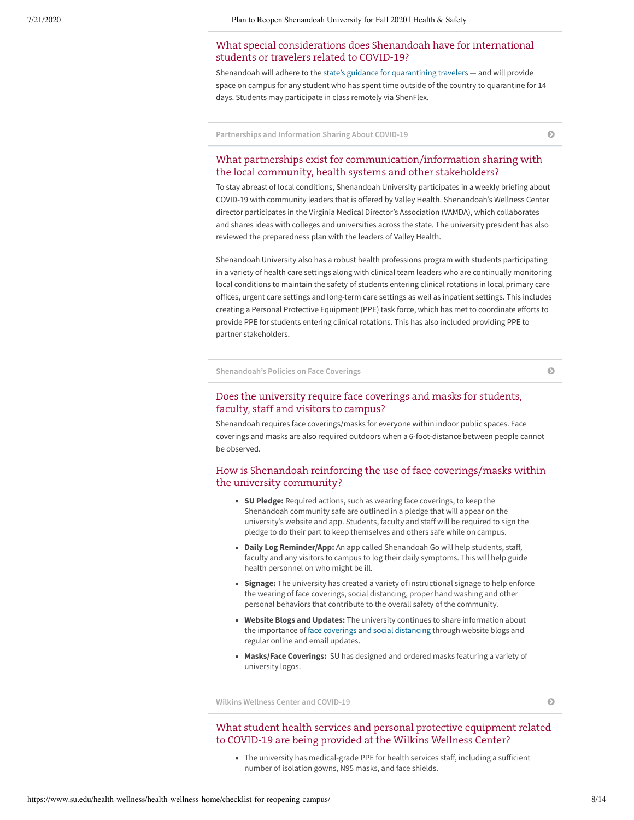# <span id="page-7-0"></span>What special considerations does Shenandoah have for international students or travelers related to COVID-19?

Shenandoah will adhere to the state's guidance for [quarantining](https://www.vdh.virginia.gov/coronavirus/coronavirus/travel-to-areas-with-widespread-ongoing-community-spread/) travelers — and will provide space on campus for any student who has spent time outside of the country to quarantine for 14 days. Students may participate in class remotely via ShenFlex.

**[Partnerships](#page-7-1) and Information Sharing About COVID-19**

# <span id="page-7-1"></span>What partnerships exist for communication/information sharing with the local community, health systems and other stakeholders?

To stay abreast of local conditions, Shenandoah University participates in a weekly briefing about COVID-19 with community leaders that is offered by Valley Health. Shenandoah's Wellness Center director participates in the Virginia Medical Director's Association (VAMDA), which collaborates and shares ideas with colleges and universities across the state. The university president has also reviewed the preparedness plan with the leaders of Valley Health.

Shenandoah University also has a robust health professions program with students participating in a variety of health care settings along with clinical team leaders who are continually monitoring local conditions to maintain the safety of students entering clinical rotations in local primary care offices, urgent care settings and long-term care settings as well as inpatient settings. This includes creating a Personal Protective Equipment (PPE) task force, which has met to coordinate efforts to provide PPE for students entering clinical rotations. This has also included providing PPE to partner stakeholders.

**[Shenandoah's](#page-7-2) Policies on Face Coverings**

### <span id="page-7-2"></span>Does the university require face coverings and masks for students, faculty, staff and visitors to campus?

Shenandoah requires face coverings/masks for everyone within indoor public spaces. Face coverings and masks are also required outdoors when a 6-foot-distance between people cannot be observed.

# How is Shenandoah reinforcing the use of face coverings/masks within the university community?

- **SU Pledge:** Required actions, such as wearing face coverings, to keep the Shenandoah community safe are outlined in a pledge that will appear on the university's website and app. Students, faculty and staff will be required to sign the pledge to do their part to keep themselves and others safe while on campus.
- **· Daily Log Reminder/App:** An app called Shenandoah Go will help students, staff, faculty and any visitors to campus to log their daily symptoms. This will help guide health personnel on who might be ill.
- **Signage:** The university has created a variety of instructional signage to help enforce the wearing of face coverings, social distancing, proper hand washing and other personal behaviors that contribute to the overall safety of the community.
- **Website Blogs and Updates:** The university continues to share information about the importance of face coverings and social [distancing](https://www.su.edu/blog/2020/03/some-social-distancing-resources-from-an-expert/) through website blogs and regular online and email updates.
- **Masks/Face Coverings:** SU has designed and ordered masks featuring a variety of university logos.

**Wilkins Wellness Center and [COVID-19](#page-7-3)**

# <span id="page-7-3"></span>What student health services and personal protective equipment related to COVID-19 are being provided at the Wilkins Wellness Center?

• The university has medical-grade PPE for health services staff, including a sufficient number of isolation gowns, N95 masks, and face shields.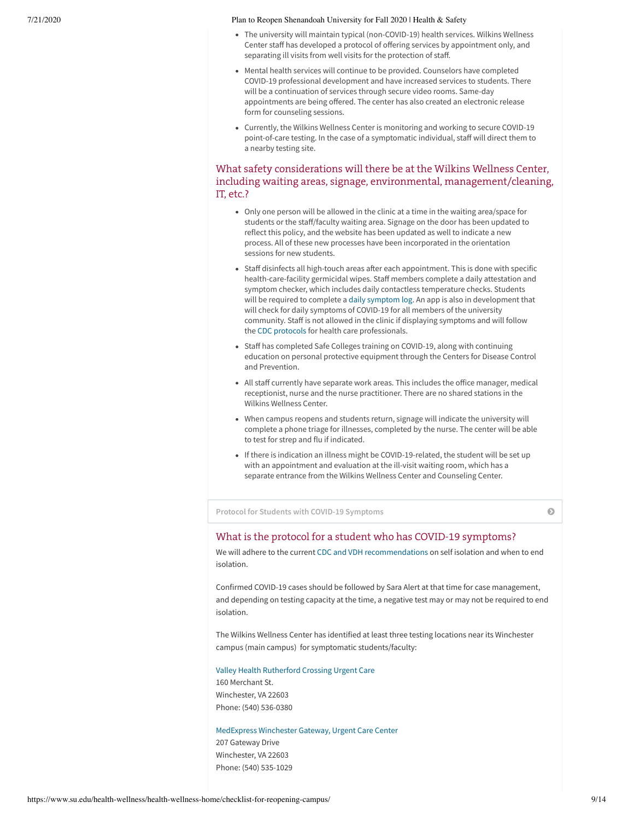- The university will maintain typical (non-COVID-19) health services. Wilkins Wellness Center staff has developed a protocol of offering services by appointment only, and separating ill visits from well visits for the protection of staff.
- Mental health services will continue to be provided. Counselors have completed COVID-19 professional development and have increased services to students. There will be a continuation of services through secure video rooms. Same-day appointments are being offered. The center has also created an electronic release form for counseling sessions.
- Currently, the Wilkins Wellness Center is monitoring and working to secure COVID-19 point-of-care testing. In the case of a symptomatic individual, staff will direct them to a nearby testing site.

# What safety considerations will there be at the Wilkins Wellness Center, including waiting areas, signage, environmental, management/cleaning, IT, etc.?

- Only one person will be allowed in the clinic at a time in the waiting area/space for students or the staff/faculty waiting area. Signage on the door has been updated to reflect this policy, and the website has been updated as well to indicate a new process. All of these new processes have been incorporated in the orientation sessions for new students.
- Staff disinfects all high-touch areas after each appointment. This is done with specific health-care-facility germicidal wipes. Staff members complete a daily attestation and symptom checker, which includes daily contactless temperature checks. Students will be required to complete a [daily symptom](https://docs.google.com/forms/d/e/1FAIpQLSeFOpTTlqmyh9zoWX6UWz6DWThIbf8DQ0yIcBJu-JMcjTc8lw/viewform) log. An app is also in development that will check for daily symptoms of COVID-19 for all members of the university community. Staff is not allowed in the clinic if displaying symptoms and will follow the CDC [protocols](https://www.cdc.gov/coronavirus/2019-ncov/hcp/clinical-care.html) for health care professionals.
- Staff has completed Safe Colleges training on COVID-19, along with continuing education on personal protective equipment through the Centers for Disease Control and Prevention.
- All staff currently have separate work areas. This includes the office manager, medical receptionist, nurse and the nurse practitioner. There are no shared stations in the Wilkins Wellness Center.
- When campus reopens and students return, signage will indicate the university will complete a phone triage for illnesses, completed by the nurse. The center will be able to test for strep and flu if indicated.
- If there is indication an illness might be COVID-19-related, the student will be set up with an appointment and evaluation at the ill-visit waiting room, which has a separate entrance from the Wilkins Wellness Center and Counseling Center.

**Protocol for Students with COVID-19 [Symptoms](#page-8-0)**

### <span id="page-8-0"></span>What is the protocol for a student who has COVID-19 symptoms?

We will adhere to the current CDC and VDH [recommendations](https://www.vdh.virginia.gov/content/uploads/sites/182/2020/04/Home-IsolationQuarantine-Release-Graphic_FINAL.pdf) on self isolation and when to end isolation.

Confirmed COVID-19 cases should be followed by Sara Alert at that time for case management, and depending on testing capacity at the time, a negative test may or may not be required to end isolation.

The Wilkins Wellness Center has identified at least three testing locations near its Winchester campus (main campus) for symptomatic students/faculty:

### [Valley Health](https://www.valleyhealthlink.com/patients-visitors/coronavirus-covid-19-updates/) Rutherford Crossing Urgent Care

160 Merchant St. Winchester, VA 22603 Phone: (540) 536-0380

### [MedExpress](https://www.medexpress.com/location/va/winchester/wgv/) Winchester Gateway, Urgent Care Center

207 Gateway Drive Winchester, VA 22603 Phone: (540) 535-1029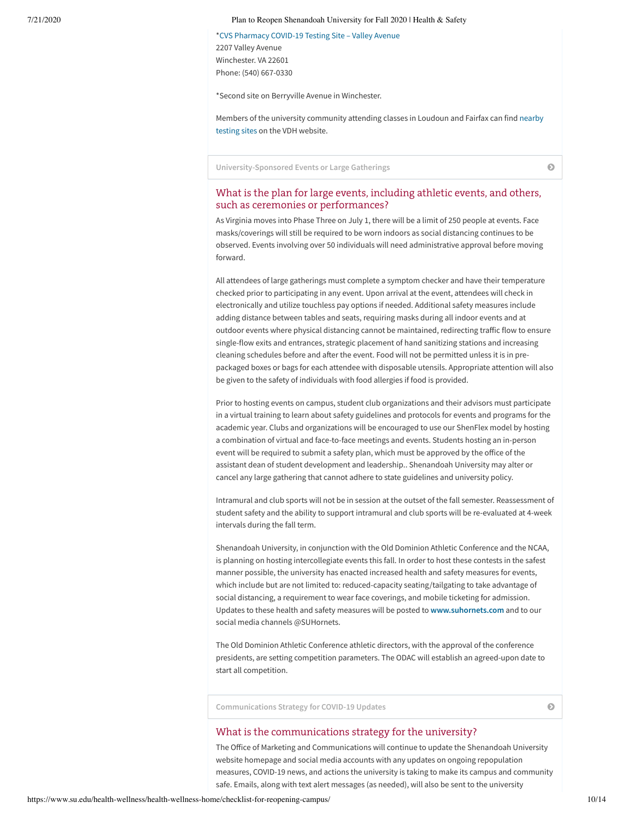\*CVS [Pharmacy COVID-19](https://www.cvs.com/minuteclinic/covid-19-testing) Testing Site – Valley Avenue

2207 Valley Avenue Winchester. VA 22601 Phone: (540) 667-0330

\*Second site on Berryville Avenue in Winchester.

Members of the [university community attending](https://www.vdh.virginia.gov/coronavirus/covid-19-testing/covid-19-testing-sites) classes in Loudoun and Fairfax can find nearby testing sites on the VDH website.

**[University-Sponsored](#page-9-0) Events or Large Gatherings**

# <span id="page-9-0"></span>What is the plan for large events, including athletic events, and others, such as ceremonies or performances?

As Virginia moves into Phase Three on July 1, there will be a limit of 250 people at events. Face masks/coverings will still be required to be worn indoors as social distancing continues to be observed. Events involving over 50 individuals will need administrative approval before moving forward.

All attendees of large gatherings must complete a symptom checker and have their temperature checked prior to participating in any event. Upon arrival at the event, attendees will check in electronically and utilize touchless pay options if needed. Additional safety measures include adding distance between tables and seats, requiring masks during all indoor events and at outdoor events where physical distancing cannot be maintained, redirecting traffic flow to ensure single-flow exits and entrances, strategic placement of hand sanitizing stations and increasing cleaning schedules before and after the event. Food will not be permitted unless it is in prepackaged boxes or bags for each attendee with disposable utensils. Appropriate attention will also be given to the safety of individuals with food allergies if food is provided.

Prior to hosting events on campus, student club organizations and their advisors must participate in a virtual training to learn about safety guidelines and protocols for events and programs for the academic year. Clubs and organizations will be encouraged to use our ShenFlex model by hosting a combination of virtual and face-to-face meetings and events. Students hosting an in-person event will be required to submit a safety plan, which must be approved by the office of the assistant dean of student development and leadership.. Shenandoah University may alter or cancel any large gathering that cannot adhere to state guidelines and university policy.

Intramural and club sports will not be in session at the outset of the fall semester. Reassessment of student safety and the ability to support intramural and club sports will be re-evaluated at 4-week intervals during the fall term.

Shenandoah University, in conjunction with the Old Dominion Athletic Conference and the NCAA, is planning on hosting intercollegiate events this fall. In order to host these contests in the safest manner possible, the university has enacted increased health and safety measures for events, which include but are not limited to: reduced-capacity seating/tailgating to take advantage of social distancing, a requirement to wear face coverings, and mobile ticketing for admission. Updates to these health and safety measures will be posted to **[www.suhornets.com](http://www.suhornets.com/)** and to our social media channels @SUHornets.

The Old Dominion Athletic Conference athletic directors, with the approval of the conference presidents, are setting competition parameters. The ODAC will establish an agreed-upon date to start all competition.

**[Communications](#page-9-1) Strategy for COVID-19 Updates**

### <span id="page-9-1"></span>What is the communications strategy for the university?

The Office of Marketing and Communications will continue to update the Shenandoah University website homepage and social media accounts with any updates on ongoing repopulation measures, COVID-19 news, and actions the university is taking to make its campus and community safe. Emails, along with text alert messages (as needed), will also be sent to the university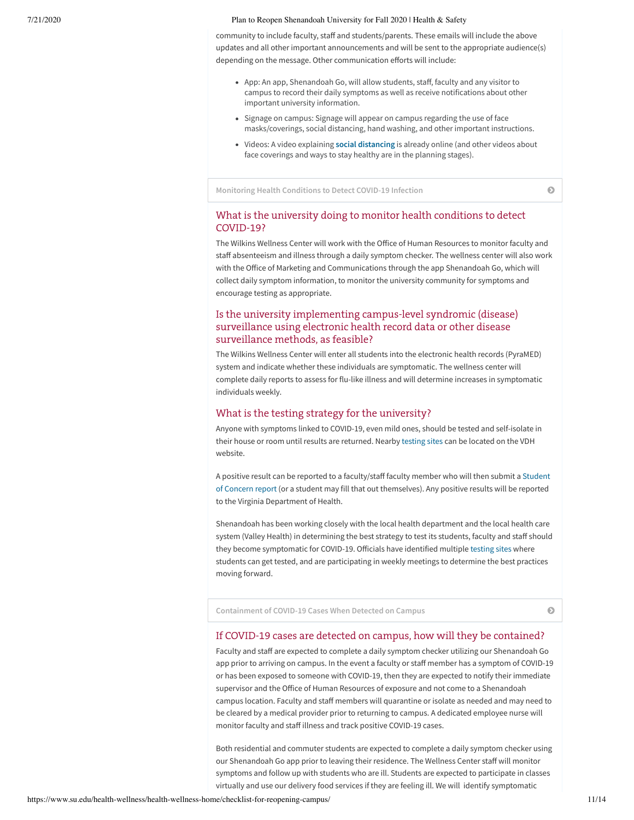community to include faculty, staff and students/parents. These emails will include the above updates and all other important announcements and will be sent to the appropriate audience(s) depending on the message. Other communication efforts will include:

- App: An app, Shenandoah Go, will allow students, staff, faculty and any visitor to campus to record their daily symptoms as well as receive notifications about other important university information.
- Signage on campus: Signage will appear on campus regarding the use of face masks/coverings, social distancing, hand washing, and other important instructions.
- Videos: A video explaining **social [distancing](https://youtu.be/FWnA37q-moM)** is already online (and other videos about face coverings and ways to stay healthy are in the planning stages).

**[Monitoring](#page-10-0) Health Conditions to Detect COVID-19 Infection**

# <span id="page-10-0"></span>What is the university doing to monitor health conditions to detect COVID-19?

The Wilkins Wellness Center will work with the Office of Human Resources to monitor faculty and staff absenteeism and illness through a daily symptom checker. The wellness center will also work with the Office of Marketing and Communications through the app Shenandoah Go, which will collect daily symptom information, to monitor the university community for symptoms and encourage testing as appropriate.

# Is the university implementing campus-level syndromic (disease) surveillance using electronic health record data or other disease surveillance methods, as feasible?

The Wilkins Wellness Center will enter all students into the electronic health records (PyraMED) system and indicate whether these individuals are symptomatic. The wellness center will complete daily reports to assess for flu-like illness and will determine increases in symptomatic individuals weekly.

### What is the testing strategy for the university?

Anyone with symptoms linked to COVID-19, even mild ones, should be tested and self-isolate in their house or room until results are returned. Nearby [testing](https://www.vdh.virginia.gov/coronavirus/covid-19-testing/covid-19-testing-sites/) sites can be located on the VDH website.

A positive result can be reported to a faculty/staff faculty member who will then submit a Student of Concern report (or a student may fill that out [themselves\).](https://cm.maxient.com/reportingform.php?ShenandoahUniv&layout_id=5) Any positive results will be reported to the Virginia Department of Health.

Shenandoah has been working closely with the local health department and the local health care system (Valley Health) in determining the best strategy to test its students, faculty and staff should they become symptomatic for COVID-19. Officials have identified multiple [testing](https://www.vdh.virginia.gov/coronavirus/covid-19-testing/covid-19-testing-sites/) sites where students can get tested, and are participating in weekly meetings to determine the best practices moving forward.

**[Containment](#page-10-1) of COVID-19 Cases When Detected on Campus**

### <span id="page-10-1"></span>If COVID-19 cases are detected on campus, how will they be contained?

Faculty and staff are expected to complete a daily symptom checker utilizing our Shenandoah Go app prior to arriving on campus. In the event a faculty or staff member has a symptom of COVID-19 or has been exposed to someone with COVID-19, then they are expected to notify their immediate supervisor and the Office of Human Resources of exposure and not come to a Shenandoah campus location. Faculty and staff members will quarantine or isolate as needed and may need to be cleared by a medical provider prior to returning to campus. A dedicated employee nurse will monitor faculty and staff illness and track positive COVID-19 cases.

Both residential and commuter students are expected to complete a daily symptom checker using our Shenandoah Go app prior to leaving their residence. The Wellness Center staff will monitor symptoms and follow up with students who are ill. Students are expected to participate in classes virtually and use our delivery food services if they are feeling ill. We will identify symptomatic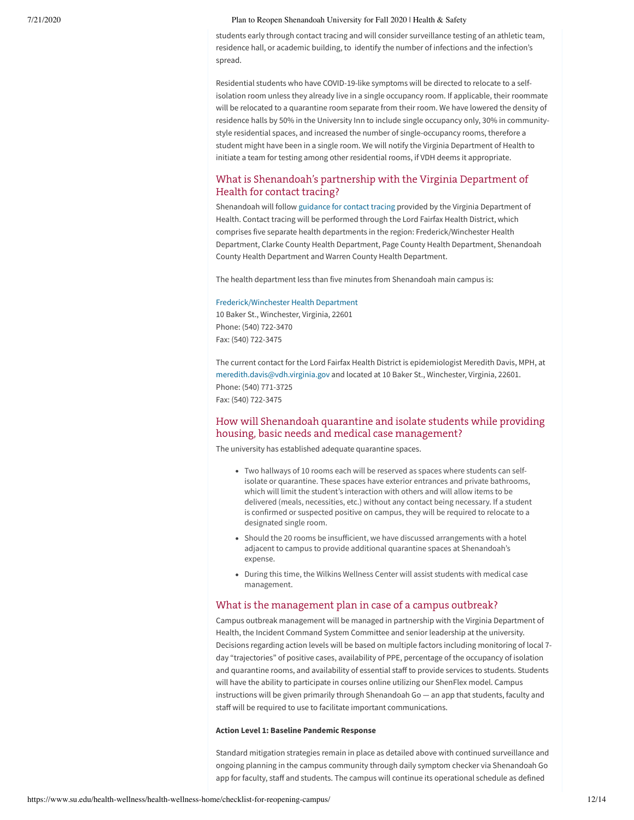students early through contact tracing and will consider surveillance testing of an athletic team, residence hall, or academic building, to identify the number of infections and the infection's spread.

Residential students who have COVID-19-like symptoms will be directed to relocate to a selfisolation room unless they already live in a single occupancy room. If applicable, their roommate will be relocated to a quarantine room separate from their room. We have lowered the density of residence halls by 50% in the University Inn to include single occupancy only, 30% in communitystyle residential spaces, and increased the number of single-occupancy rooms, therefore a student might have been in a single room. We will notify the Virginia Department of Health to initiate a team for testing among other residential rooms, if VDH deems it appropriate.

# What is Shenandoah's partnership with the Virginia Department of Health for contact tracing?

Shenandoah will follow [guidance](https://www.vdh.virginia.gov/content/uploads/sites/182/2020/06/VDH-IHE-and-Contact-Tracing_062320_final.pdf) for contact tracing provided by the Virginia Department of Health. Contact tracing will be performed through the Lord Fairfax Health District, which comprises five separate health departments in the region: Frederick/Winchester Health Department, Clarke County Health Department, Page County Health Department, Shenandoah County Health Department and Warren County Health Department.

The health department less than five minutes from Shenandoah main campus is:

#### [Frederick/Winchester](https://www.vdh.virginia.gov/lord-fairfax/) Health Department

10 Baker St., Winchester, Virginia, 22601 Phone: (540) 722-3470 Fax: (540) 722-3475

The current contact for the Lord Fairfax Health District is epidemiologist Meredith Davis, MPH, at [meredith.davis@vdh.virginia.gov](mailto:meredith.davis@vdh.gov) and located at 10 Baker St., Winchester, Virginia, 22601. Phone: (540) 771-3725 Fax: (540) 722-3475

# How will Shenandoah quarantine and isolate students while providing housing, basic needs and medical case management?

The university has established adequate quarantine spaces.

- Two hallways of 10 rooms each will be reserved as spaces where students can selfisolate or quarantine. These spaces have exterior entrances and private bathrooms, which will limit the student's interaction with others and will allow items to be delivered (meals, necessities, etc.) without any contact being necessary. If a student is confirmed or suspected positive on campus, they will be required to relocate to a designated single room.
- Should the 20 rooms be insufficient, we have discussed arrangements with a hotel adjacent to campus to provide additional quarantine spaces at Shenandoah's expense.
- During this time, the Wilkins Wellness Center will assist students with medical case management.

### What is the management plan in case of a campus outbreak?

Campus outbreak management will be managed in partnership with the Virginia Department of Health, the Incident Command System Committee and senior leadership at the university. Decisions regarding action levels will be based on multiple factors including monitoring of local 7 day "trajectories" of positive cases, availability of PPE, percentage of the occupancy of isolation and quarantine rooms, and availability of essential staff to provide services to students. Students will have the ability to participate in courses online utilizing our ShenFlex model. Campus instructions will be given primarily through Shenandoah Go — an app that students, faculty and staff will be required to use to facilitate important communications.

### **Action Level 1: Baseline Pandemic Response**

Standard mitigation strategies remain in place as detailed above with continued surveillance and ongoing planning in the campus community through daily symptom checker via Shenandoah Go app for faculty, staff and students. The campus will continue its operational schedule as defined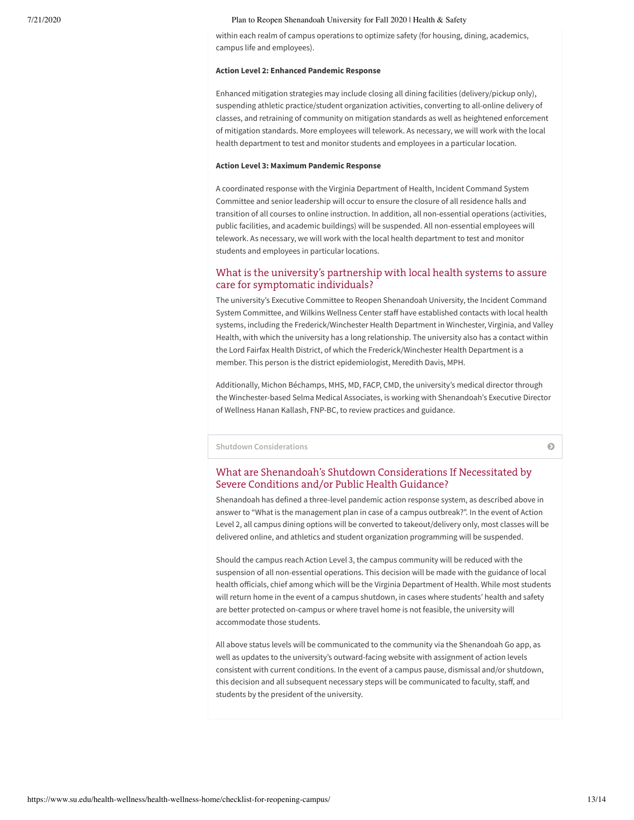within each realm of campus operations to optimize safety (for housing, dining, academics, campus life and employees).

#### **Action Level 2: Enhanced Pandemic Response**

Enhanced mitigation strategies may include closing all dining facilities (delivery/pickup only), suspending athletic practice/student organization activities, converting to all-online delivery of classes, and retraining of community on mitigation standards as well as heightened enforcement of mitigation standards. More employees will telework. As necessary, we will work with the local health department to test and monitor students and employees in a particular location.

#### **Action Level 3: Maximum Pandemic Response**

A coordinated response with the Virginia Department of Health, Incident Command System Committee and senior leadership will occur to ensure the closure of all residence halls and transition of all courses to online instruction. In addition, all non-essential operations (activities, public facilities, and academic buildings) will be suspended. All non-essential employees will telework. As necessary, we will work with the local health department to test and monitor students and employees in particular locations.

## What is the university's partnership with local health systems to assure care for symptomatic individuals?

The university's Executive Committee to Reopen Shenandoah University, the Incident Command System Committee, and Wilkins Wellness Center staff have established contacts with local health systems, including the Frederick/Winchester Health Department in Winchester, Virginia, and Valley Health, with which the university has a long relationship. The university also has a contact within the Lord Fairfax Health District, of which the Frederick/Winchester Health Department is a member. This person is the district epidemiologist, Meredith Davis, MPH.

Additionally, Michon Béchamps, MHS, MD, FACP, CMD, the university's medical director through the Winchester-based Selma Medical Associates, is working with Shenandoah's Executive Director of Wellness Hanan Kallash, FNP-BC, to review practices and guidance.

**Shutdown [Considerations](#page-12-0)**

# <span id="page-12-0"></span>What are Shenandoah's Shutdown Considerations If Necessitated by Severe Conditions and/or Public Health Guidance?

Shenandoah has defined a three-level pandemic action response system, as described above in answer to "What is the management plan in case of a campus outbreak?". In the event of Action Level 2, all campus dining options will be converted to takeout/delivery only, most classes will be delivered online, and athletics and student organization programming will be suspended.

Should the campus reach Action Level 3, the campus community will be reduced with the suspension of all non-essential operations. This decision will be made with the guidance of local health officials, chief among which will be the Virginia Department of Health. While most students will return home in the event of a campus shutdown, in cases where students' health and safety are better protected on-campus or where travel home is not feasible, the university will accommodate those students.

All above status levels will be communicated to the community via the Shenandoah Go app, as well as updates to the university's outward-facing website with assignment of action levels consistent with current conditions. In the event of a campus pause, dismissal and/or shutdown, this decision and all subsequent necessary steps will be communicated to faculty, staff, and students by the president of the university.